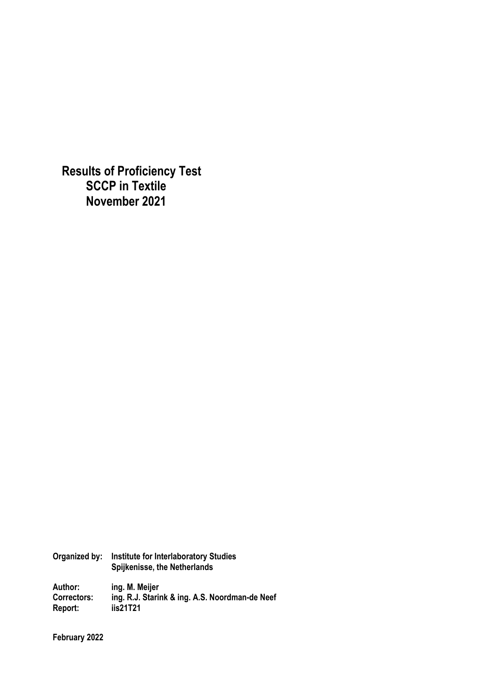**Results of Proficiency Test SCCP in Textile November 2021** 

**Organized by: Institute for Interlaboratory Studies Spijkenisse, the Netherlands Author: ing. M. Meijer Correctors: ing. R.J. Starink & ing. A.S. Noordman-de Neef Report: iis21T21** 

**February 2022**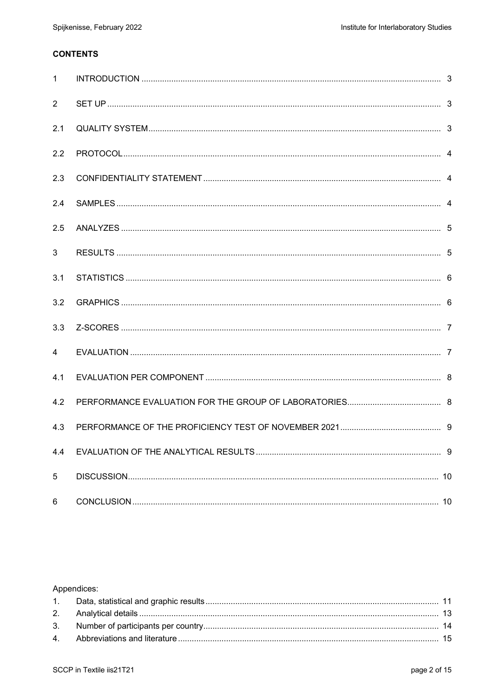# **CONTENTS**

| $\mathbf{1}$   |  |
|----------------|--|
| 2              |  |
| 2.1            |  |
| 2.2            |  |
| 2.3            |  |
| 2.4            |  |
| 2.5            |  |
| 3              |  |
| 3.1            |  |
| 3.2            |  |
| 3.3            |  |
| $\overline{4}$ |  |
| 4.1            |  |
| 4.2            |  |
| 4.3            |  |
| 4.4            |  |
| 5              |  |
| 6              |  |

# Appendices: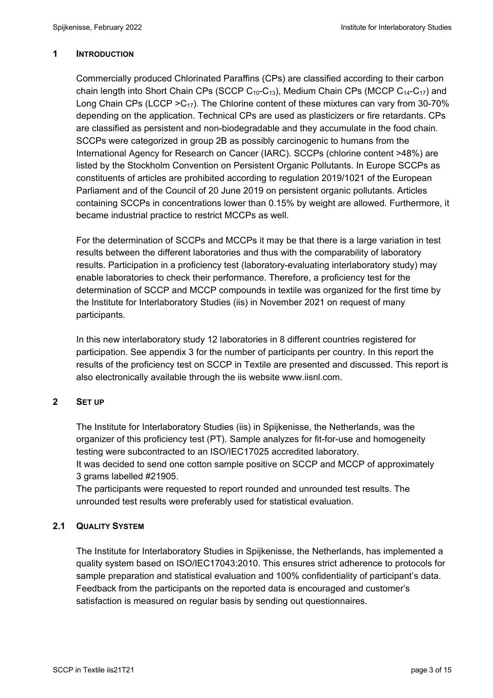## **1 INTRODUCTION**

Commercially produced Chlorinated Paraffins (CPs) are classified according to their carbon chain length into Short Chain CPs (SCCP  $C_{10}$ - $C_{13}$ ), Medium Chain CPs (MCCP  $C_{14}$ - $C_{17}$ ) and Long Chain CPs (LCCP  $>$ C<sub>17</sub>). The Chlorine content of these mixtures can vary from 30-70% depending on the application. Technical CPs are used as plasticizers or fire retardants. CPs are classified as persistent and non-biodegradable and they accumulate in the food chain. SCCPs were categorized in group 2B as possibly carcinogenic to humans from the International Agency for Research on Cancer (IARC). SCCPs (chlorine content >48%) are listed by the Stockholm Convention on Persistent Organic Pollutants. In Europe SCCPs as constituents of articles are prohibited according to regulation 2019/1021 of the European Parliament and of the Council of 20 June 2019 on persistent organic pollutants. Articles containing SCCPs in concentrations lower than 0.15% by weight are allowed. Furthermore, it became industrial practice to restrict MCCPs as well.

For the determination of SCCPs and MCCPs it may be that there is a large variation in test results between the different laboratories and thus with the comparability of laboratory results. Participation in a proficiency test (laboratory-evaluating interlaboratory study) may enable laboratories to check their performance. Therefore, a proficiency test for the determination of SCCP and MCCP compounds in textile was organized for the first time by the Institute for Interlaboratory Studies (iis) in November 2021 on request of many participants.

In this new interlaboratory study 12 laboratories in 8 different countries registered for participation. See appendix 3 for the number of participants per country. In this report the results of the proficiency test on SCCP in Textile are presented and discussed. This report is also electronically available through the iis website www.iisnl.com.

# **2 SET UP**

The Institute for Interlaboratory Studies (iis) in Spijkenisse, the Netherlands, was the organizer of this proficiency test (PT). Sample analyzes for fit-for-use and homogeneity testing were subcontracted to an ISO/IEC17025 accredited laboratory. It was decided to send one cotton sample positive on SCCP and MCCP of approximately 3 grams labelled #21905.

The participants were requested to report rounded and unrounded test results. The unrounded test results were preferably used for statistical evaluation.

# **2.1 QUALITY SYSTEM**

The Institute for Interlaboratory Studies in Spijkenisse, the Netherlands, has implemented a quality system based on ISO/IEC17043:2010. This ensures strict adherence to protocols for sample preparation and statistical evaluation and 100% confidentiality of participant's data. Feedback from the participants on the reported data is encouraged and customer's satisfaction is measured on regular basis by sending out questionnaires.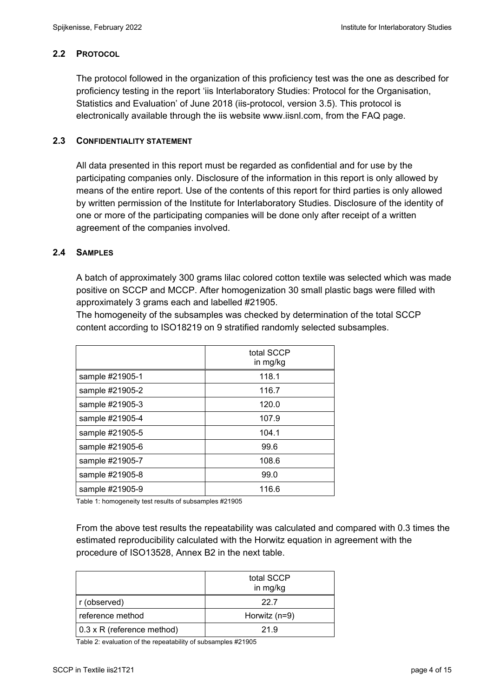# **2.2 PROTOCOL**

The protocol followed in the organization of this proficiency test was the one as described for proficiency testing in the report 'iis Interlaboratory Studies: Protocol for the Organisation, Statistics and Evaluation' of June 2018 (iis-protocol, version 3.5). This protocol is electronically available through the iis website www.iisnl.com, from the FAQ page.

# **2.3 CONFIDENTIALITY STATEMENT**

All data presented in this report must be regarded as confidential and for use by the participating companies only. Disclosure of the information in this report is only allowed by means of the entire report. Use of the contents of this report for third parties is only allowed by written permission of the Institute for Interlaboratory Studies. Disclosure of the identity of one or more of the participating companies will be done only after receipt of a written agreement of the companies involved.

## **2.4 SAMPLES**

A batch of approximately 300 grams lilac colored cotton textile was selected which was made positive on SCCP and MCCP. After homogenization 30 small plastic bags were filled with approximately 3 grams each and labelled #21905.

The homogeneity of the subsamples was checked by determination of the total SCCP content according to ISO18219 on 9 stratified randomly selected subsamples.

|                 | total SCCP<br>in mg/kg |
|-----------------|------------------------|
| sample #21905-1 | 118.1                  |
| sample #21905-2 | 116.7                  |
| sample #21905-3 | 120.0                  |
| sample #21905-4 | 107.9                  |
| sample #21905-5 | 104.1                  |
| sample #21905-6 | 99.6                   |
| sample #21905-7 | 108.6                  |
| sample #21905-8 | 99.0                   |
| sample #21905-9 | 116.6                  |

Table 1: homogeneity test results of subsamples #21905

From the above test results the repeatability was calculated and compared with 0.3 times the estimated reproducibility calculated with the Horwitz equation in agreement with the procedure of ISO13528, Annex B2 in the next table.

|                            | total SCCP<br>in mg/kg |
|----------------------------|------------------------|
| r (observed)               | 22.7                   |
| reference method           | Horwitz (n=9)          |
| 0.3 x R (reference method) | 21.9                   |

Table 2: evaluation of the repeatability of subsamples #21905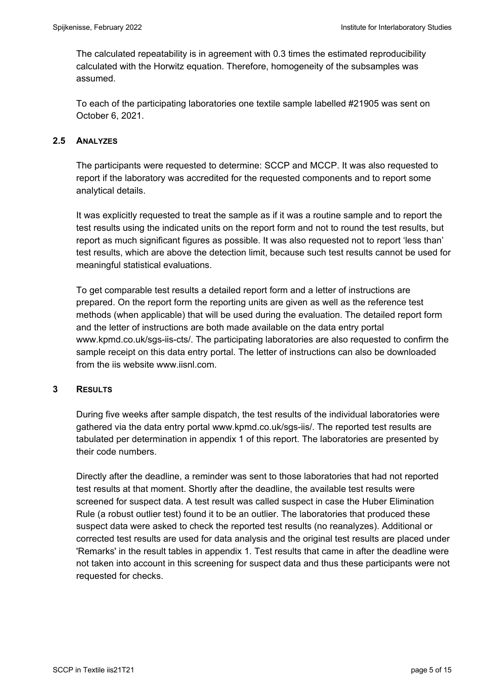The calculated repeatability is in agreement with 0.3 times the estimated reproducibility calculated with the Horwitz equation. Therefore, homogeneity of the subsamples was assumed.

To each of the participating laboratories one textile sample labelled #21905 was sent on October 6, 2021.

# **2.5 ANALYZES**

The participants were requested to determine: SCCP and MCCP. It was also requested to report if the laboratory was accredited for the requested components and to report some analytical details.

It was explicitly requested to treat the sample as if it was a routine sample and to report the test results using the indicated units on the report form and not to round the test results, but report as much significant figures as possible. It was also requested not to report 'less than' test results, which are above the detection limit, because such test results cannot be used for meaningful statistical evaluations.

To get comparable test results a detailed report form and a letter of instructions are prepared. On the report form the reporting units are given as well as the reference test methods (when applicable) that will be used during the evaluation. The detailed report form and the letter of instructions are both made available on the data entry portal www.kpmd.co.uk/sgs-iis-cts/. The participating laboratories are also requested to confirm the sample receipt on this data entry portal. The letter of instructions can also be downloaded from the iis website www.iisnl.com.

### **3 RESULTS**

During five weeks after sample dispatch, the test results of the individual laboratories were gathered via the data entry portal www.kpmd.co.uk/sgs-iis/. The reported test results are tabulated per determination in appendix 1 of this report. The laboratories are presented by their code numbers.

Directly after the deadline, a reminder was sent to those laboratories that had not reported test results at that moment. Shortly after the deadline, the available test results were screened for suspect data. A test result was called suspect in case the Huber Elimination Rule (a robust outlier test) found it to be an outlier. The laboratories that produced these suspect data were asked to check the reported test results (no reanalyzes). Additional or corrected test results are used for data analysis and the original test results are placed under 'Remarks' in the result tables in appendix 1. Test results that came in after the deadline were not taken into account in this screening for suspect data and thus these participants were not requested for checks.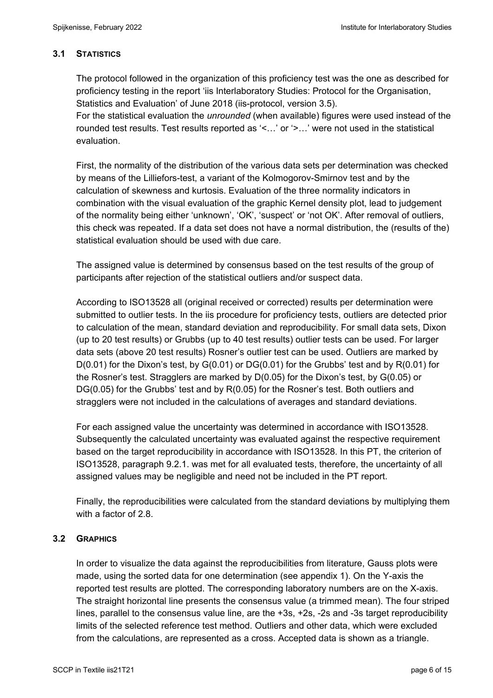# **3.1 STATISTICS**

The protocol followed in the organization of this proficiency test was the one as described for proficiency testing in the report 'iis Interlaboratory Studies: Protocol for the Organisation, Statistics and Evaluation' of June 2018 (iis-protocol, version 3.5).

For the statistical evaluation the *unrounded* (when available) figures were used instead of the rounded test results. Test results reported as '<…' or '>…' were not used in the statistical evaluation.

First, the normality of the distribution of the various data sets per determination was checked by means of the Lilliefors-test, a variant of the Kolmogorov-Smirnov test and by the calculation of skewness and kurtosis. Evaluation of the three normality indicators in combination with the visual evaluation of the graphic Kernel density plot, lead to judgement of the normality being either 'unknown', 'OK', 'suspect' or 'not OK'. After removal of outliers, this check was repeated. If a data set does not have a normal distribution, the (results of the) statistical evaluation should be used with due care.

The assigned value is determined by consensus based on the test results of the group of participants after rejection of the statistical outliers and/or suspect data.

According to ISO13528 all (original received or corrected) results per determination were submitted to outlier tests. In the iis procedure for proficiency tests, outliers are detected prior to calculation of the mean, standard deviation and reproducibility. For small data sets, Dixon (up to 20 test results) or Grubbs (up to 40 test results) outlier tests can be used. For larger data sets (above 20 test results) Rosner's outlier test can be used. Outliers are marked by D(0.01) for the Dixon's test, by G(0.01) or DG(0.01) for the Grubbs' test and by R(0.01) for the Rosner's test. Stragglers are marked by D(0.05) for the Dixon's test, by G(0.05) or DG(0.05) for the Grubbs' test and by R(0.05) for the Rosner's test. Both outliers and stragglers were not included in the calculations of averages and standard deviations.

For each assigned value the uncertainty was determined in accordance with ISO13528. Subsequently the calculated uncertainty was evaluated against the respective requirement based on the target reproducibility in accordance with ISO13528. In this PT, the criterion of ISO13528, paragraph 9.2.1. was met for all evaluated tests, therefore, the uncertainty of all assigned values may be negligible and need not be included in the PT report.

Finally, the reproducibilities were calculated from the standard deviations by multiplying them with a factor of 2.8

# **3.2 GRAPHICS**

In order to visualize the data against the reproducibilities from literature, Gauss plots were made, using the sorted data for one determination (see appendix 1). On the Y-axis the reported test results are plotted. The corresponding laboratory numbers are on the X-axis. The straight horizontal line presents the consensus value (a trimmed mean). The four striped lines, parallel to the consensus value line, are the +3s, +2s, -2s and -3s target reproducibility limits of the selected reference test method. Outliers and other data, which were excluded from the calculations, are represented as a cross. Accepted data is shown as a triangle.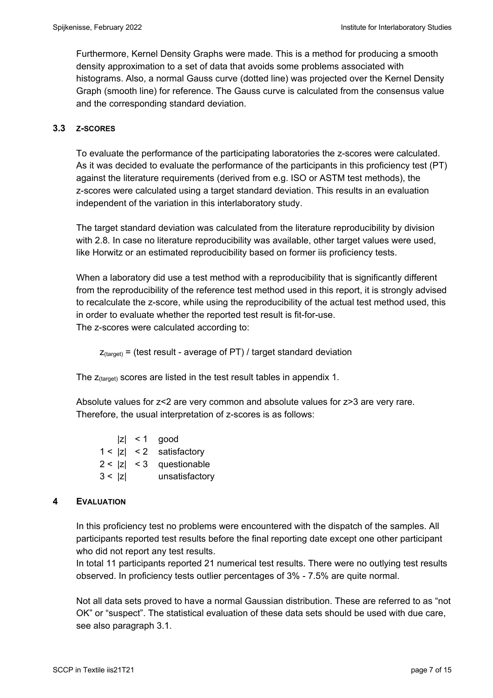Furthermore, Kernel Density Graphs were made. This is a method for producing a smooth density approximation to a set of data that avoids some problems associated with histograms. Also, a normal Gauss curve (dotted line) was projected over the Kernel Density Graph (smooth line) for reference. The Gauss curve is calculated from the consensus value and the corresponding standard deviation.

## **3.3 Z-SCORES**

To evaluate the performance of the participating laboratories the z-scores were calculated. As it was decided to evaluate the performance of the participants in this proficiency test (PT) against the literature requirements (derived from e.g. ISO or ASTM test methods), the z-scores were calculated using a target standard deviation. This results in an evaluation independent of the variation in this interlaboratory study.

The target standard deviation was calculated from the literature reproducibility by division with 2.8. In case no literature reproducibility was available, other target values were used, like Horwitz or an estimated reproducibility based on former iis proficiency tests.

When a laboratory did use a test method with a reproducibility that is significantly different from the reproducibility of the reference test method used in this report, it is strongly advised to recalculate the z-score, while using the reproducibility of the actual test method used, this in order to evaluate whether the reported test result is fit-for-use. The z-scores were calculated according to:

 $Z_{\text{target}}$  = (test result - average of PT) / target standard deviation

The  $z$ <sub>(target)</sub> scores are listed in the test result tables in appendix 1.

Absolute values for z<2 are very common and absolute values for z>3 are very rare. Therefore, the usual interpretation of z-scores is as follows:

 $|z|$  < 1 good 1 < |z| < 2 satisfactory  $2 < |z| < 3$  questionable 3 < |z| unsatisfactory

# **4 EVALUATION**

In this proficiency test no problems were encountered with the dispatch of the samples. All participants reported test results before the final reporting date except one other participant who did not report any test results.

In total 11 participants reported 21 numerical test results. There were no outlying test results observed. In proficiency tests outlier percentages of 3% - 7.5% are quite normal.

Not all data sets proved to have a normal Gaussian distribution. These are referred to as "not OK" or "suspect". The statistical evaluation of these data sets should be used with due care, see also paragraph 3.1.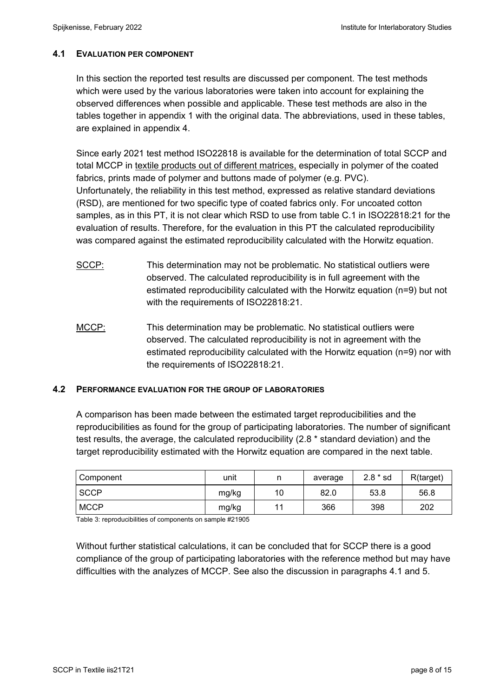## **4.1 EVALUATION PER COMPONENT**

In this section the reported test results are discussed per component. The test methods which were used by the various laboratories were taken into account for explaining the observed differences when possible and applicable. These test methods are also in the tables together in appendix 1 with the original data. The abbreviations, used in these tables, are explained in appendix 4.

Since early 2021 test method ISO22818 is available for the determination of total SCCP and total MCCP in textile products out of different matrices, especially in polymer of the coated fabrics, prints made of polymer and buttons made of polymer (e.g. PVC). Unfortunately, the reliability in this test method, expressed as relative standard deviations (RSD), are mentioned for two specific type of coated fabrics only. For uncoated cotton samples, as in this PT, it is not clear which RSD to use from table C.1 in ISO22818:21 for the evaluation of results. Therefore, for the evaluation in this PT the calculated reproducibility was compared against the estimated reproducibility calculated with the Horwitz equation.

- SCCP: This determination may not be problematic. No statistical outliers were observed. The calculated reproducibility is in full agreement with the estimated reproducibility calculated with the Horwitz equation (n=9) but not with the requirements of ISO22818:21.
- MCCP: This determination may be problematic. No statistical outliers were observed. The calculated reproducibility is not in agreement with the estimated reproducibility calculated with the Horwitz equation (n=9) nor with the requirements of ISO22818:21.

### **4.2 PERFORMANCE EVALUATION FOR THE GROUP OF LABORATORIES**

A comparison has been made between the estimated target reproducibilities and the reproducibilities as found for the group of participating laboratories. The number of significant test results, the average, the calculated reproducibility (2.8 \* standard deviation) and the target reproducibility estimated with the Horwitz equation are compared in the next table.

| Component   | unit  |    | average | $2.8 * sd$ | R(target) |
|-------------|-------|----|---------|------------|-----------|
| <b>SCCP</b> | mg/kg | 10 | 82.0    | 53.8       | 56.8      |
| <b>MCCP</b> | mg/kg | 11 | 366     | 398        | 202       |

Table 3: reproducibilities of components on sample #21905

Without further statistical calculations, it can be concluded that for SCCP there is a good compliance of the group of participating laboratories with the reference method but may have difficulties with the analyzes of MCCP. See also the discussion in paragraphs 4.1 and 5.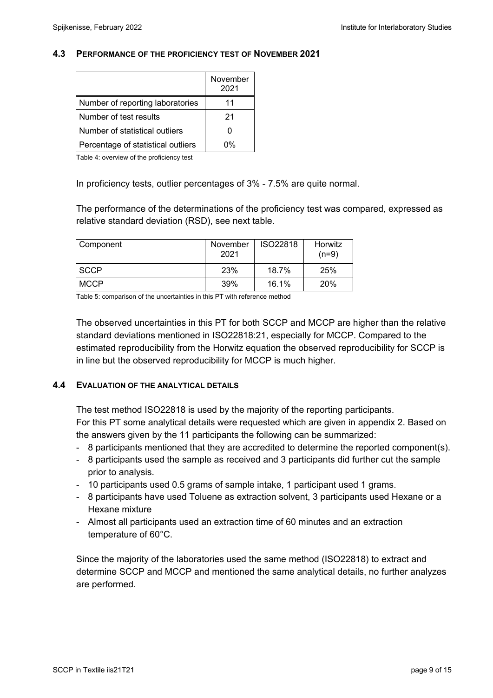#### **4.3 PERFORMANCE OF THE PROFICIENCY TEST OF NOVEMBER 2021**

|                                    | November<br>2021 |
|------------------------------------|------------------|
| Number of reporting laboratories   | 11               |
| Number of test results             | 21               |
| Number of statistical outliers     |                  |
| Percentage of statistical outliers | ሰ%               |

Table 4: overview of the proficiency test

In proficiency tests, outlier percentages of 3% - 7.5% are quite normal.

The performance of the determinations of the proficiency test was compared, expressed as relative standard deviation (RSD), see next table.

| Component   | November<br>2021 | <b>ISO22818</b> | Horwitz<br>$(n=9)$ |
|-------------|------------------|-----------------|--------------------|
| <b>SCCP</b> | 23%              | 18.7%           | 25%                |
| <b>MCCP</b> | 39%              | 16.1%           | 20%                |

Table 5: comparison of the uncertainties in this PT with reference method

The observed uncertainties in this PT for both SCCP and MCCP are higher than the relative standard deviations mentioned in ISO22818:21, especially for MCCP. Compared to the estimated reproducibility from the Horwitz equation the observed reproducibility for SCCP is in line but the observed reproducibility for MCCP is much higher.

#### **4.4 EVALUATION OF THE ANALYTICAL DETAILS**

The test method ISO22818 is used by the majority of the reporting participants. For this PT some analytical details were requested which are given in appendix 2. Based on the answers given by the 11 participants the following can be summarized:

- 8 participants mentioned that they are accredited to determine the reported component(s).
- 8 participants used the sample as received and 3 participants did further cut the sample prior to analysis.
- 10 participants used 0.5 grams of sample intake, 1 participant used 1 grams.
- 8 participants have used Toluene as extraction solvent, 3 participants used Hexane or a Hexane mixture
- Almost all participants used an extraction time of 60 minutes and an extraction temperature of 60°C.

Since the majority of the laboratories used the same method (ISO22818) to extract and determine SCCP and MCCP and mentioned the same analytical details, no further analyzes are performed.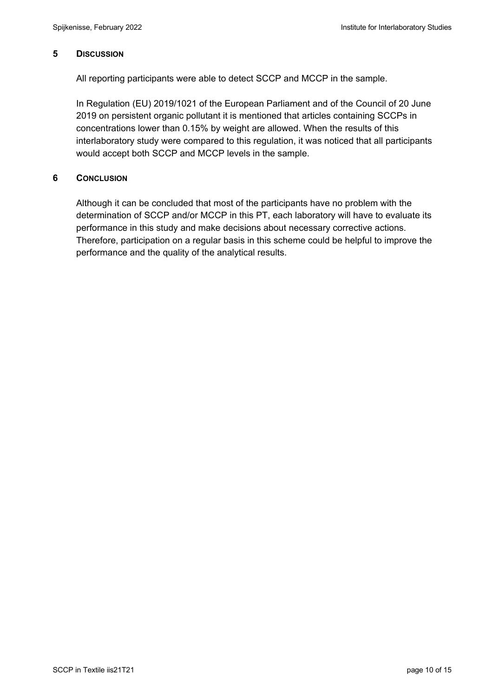### **5 DISCUSSION**

All reporting participants were able to detect SCCP and MCCP in the sample.

In Regulation (EU) 2019/1021 of the European Parliament and of the Council of 20 June 2019 on persistent organic pollutant it is mentioned that articles containing SCCPs in concentrations lower than 0.15% by weight are allowed. When the results of this interlaboratory study were compared to this regulation, it was noticed that all participants would accept both SCCP and MCCP levels in the sample.

### **6 CONCLUSION**

Although it can be concluded that most of the participants have no problem with the determination of SCCP and/or MCCP in this PT, each laboratory will have to evaluate its performance in this study and make decisions about necessary corrective actions. Therefore, participation on a regular basis in this scheme could be helpful to improve the performance and the quality of the analytical results.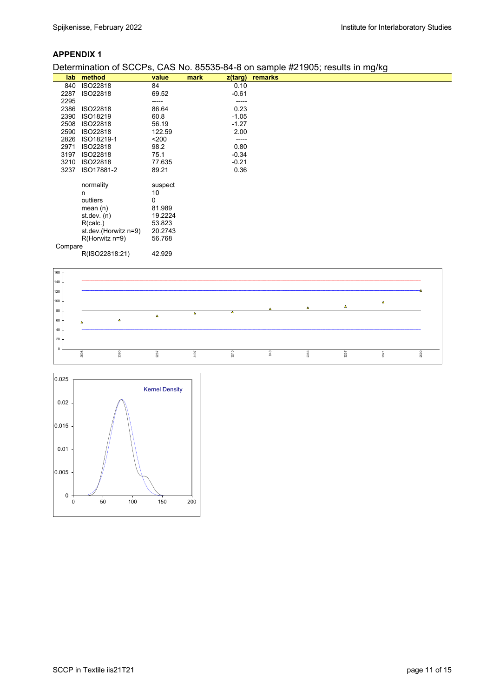### **APPENDIX 1**

#### Determination of SCCPs, CAS No. 85535-84-8 on sample #21905; results in mg/kg

| lab.    | method               | value   | mark | z(targ) | remarks |
|---------|----------------------|---------|------|---------|---------|
| 840     | ISO22818             | 84      |      | 0.10    |         |
| 2287    | ISO22818             | 69.52   |      | $-0.61$ |         |
| 2295    |                      | -----   |      | -----   |         |
| 2386    | ISO22818             | 86.64   |      | 0.23    |         |
| 2390    | ISO18219             | 60.8    |      | $-1.05$ |         |
| 2508    | ISO22818             | 56.19   |      | $-1.27$ |         |
| 2590    | ISO22818             | 122.59  |      | 2.00    |         |
| 2826    | ISO18219-1           | $200$   |      | -----   |         |
| 2971    | ISO22818             | 98.2    |      | 0.80    |         |
| 3197    | ISO22818             | 75.1    |      | $-0.34$ |         |
| 3210    | ISO22818             | 77.635  |      | $-0.21$ |         |
| 3237    | ISO17881-2           | 89.21   |      | 0.36    |         |
|         |                      |         |      |         |         |
|         | normality            | suspect |      |         |         |
|         | n                    | 10      |      |         |         |
|         | outliers             | 0       |      |         |         |
|         | mean $(n)$           | 81.989  |      |         |         |
|         | st.dev. $(n)$        | 19.2224 |      |         |         |
|         | R(calc.)             | 53.823  |      |         |         |
|         | st.dev.(Horwitz n=9) | 20.2743 |      |         |         |
|         | $R$ (Horwitz n=9)    | 56.768  |      |         |         |
| Compare |                      |         |      |         |         |
|         | R(ISO22818:21)       | 42.929  |      |         |         |



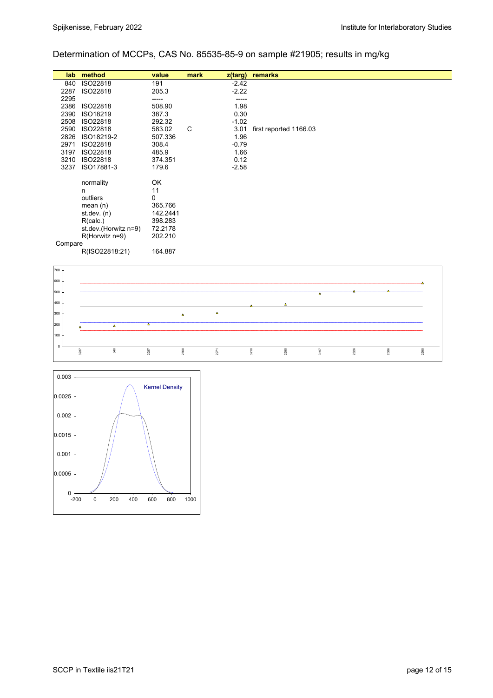### Determination of MCCPs, CAS No. 85535-85-9 on sample #21905; results in mg/kg

|         | lab method           | value    | mark | $z$ (targ) | remarks                |
|---------|----------------------|----------|------|------------|------------------------|
| 840     | ISO22818             | 191      |      | $-2.42$    |                        |
| 2287    | ISO22818             | 205.3    |      | $-2.22$    |                        |
| 2295    |                      | -----    |      |            |                        |
| 2386    | ISO22818             | 508.90   |      | 1.98       |                        |
| 2390    | ISO18219             | 387.3    |      | 0.30       |                        |
| 2508    | ISO22818             | 292.32   |      | $-1.02$    |                        |
| 2590    | ISO22818             | 583.02   | C    | 3.01       | first reported 1166.03 |
| 2826    | ISO18219-2           | 507.336  |      | 1.96       |                        |
| 2971    | ISO22818             | 308.4    |      | $-0.79$    |                        |
| 3197    | ISO22818             | 485.9    |      | 1.66       |                        |
| 3210    | ISO22818             | 374.351  |      | 0.12       |                        |
| 3237    | ISO17881-3           | 179.6    |      | $-2.58$    |                        |
|         |                      |          |      |            |                        |
|         | normality            | OK       |      |            |                        |
|         | n                    | 11       |      |            |                        |
|         | outliers             | 0        |      |            |                        |
|         | mean $(n)$           | 365.766  |      |            |                        |
|         | st.dev. $(n)$        | 142.2441 |      |            |                        |
|         | R(calc.)             | 398.283  |      |            |                        |
|         | st.dev.(Horwitz n=9) | 72.2178  |      |            |                        |
|         | $R$ (Horwitz n=9)    | 202.210  |      |            |                        |
| Compare |                      |          |      |            |                        |
|         | R(ISO22818:21)       | 164.887  |      |            |                        |
|         |                      |          |      |            |                        |



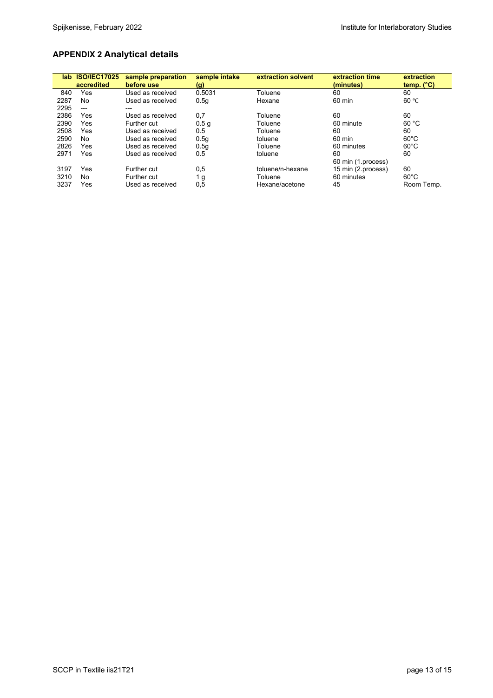# **APPENDIX 2 Analytical details**

| lab. | <b>ISO/IEC17025</b><br>accredited | sample preparation<br>before use | sample intake<br>(g) | extraction solvent | extraction time<br>(minutes) | extraction<br>temp. $(^{\circ}C)$ |
|------|-----------------------------------|----------------------------------|----------------------|--------------------|------------------------------|-----------------------------------|
| 840  | Yes                               | Used as received                 | 0.5031               | Toluene            | 60                           | 60                                |
| 2287 | No                                | Used as received                 | 0.5q                 | Hexane             | 60 min                       | 60 °C                             |
| 2295 | $---$                             | ---                              |                      |                    |                              |                                   |
| 2386 | Yes                               | Used as received                 | 0,7                  | Toluene            | 60                           | 60                                |
| 2390 | Yes                               | Further cut                      | 0.5 <sub>q</sub>     | Toluene            | 60 minute                    | 60 °C                             |
| 2508 | Yes                               | Used as received                 | 0.5                  | Toluene            | 60                           | 60                                |
| 2590 | No                                | Used as received                 | 0.5 <sub>g</sub>     | toluene            | 60 min                       | $60^{\circ}$ C                    |
| 2826 | Yes                               | Used as received                 | 0.5 <sub>g</sub>     | Toluene            | 60 minutes                   | $60^{\circ}$ C                    |
| 2971 | Yes                               | Used as received                 | 0.5                  | toluene            | 60                           | 60                                |
|      |                                   |                                  |                      |                    | 60 min (1 process)           |                                   |
| 3197 | Yes                               | Further cut                      | 0,5                  | toluene/n-hexane   | 15 min (2.process)           | 60                                |
| 3210 | No                                | Further cut                      | 1 g                  | Toluene            | 60 minutes                   | $60^{\circ}$ C                    |
| 3237 | Yes                               | Used as received                 | 0,5                  | Hexane/acetone     | 45                           | Room Temp.                        |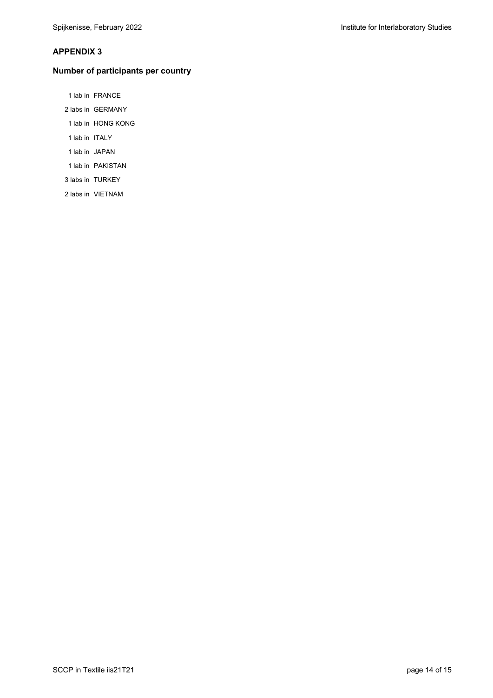#### **APPENDIX 3**

#### **Number of participants per country**

- 1 lab in FRANCE
- 2 labs in GERMANY
- 1 lab in HONG KONG
- 1 lab in ITALY
- 1 lab in JAPAN
- 1 lab in PAKISTAN
- 3 labs in TURKEY
- 2 labs in VIETNAM